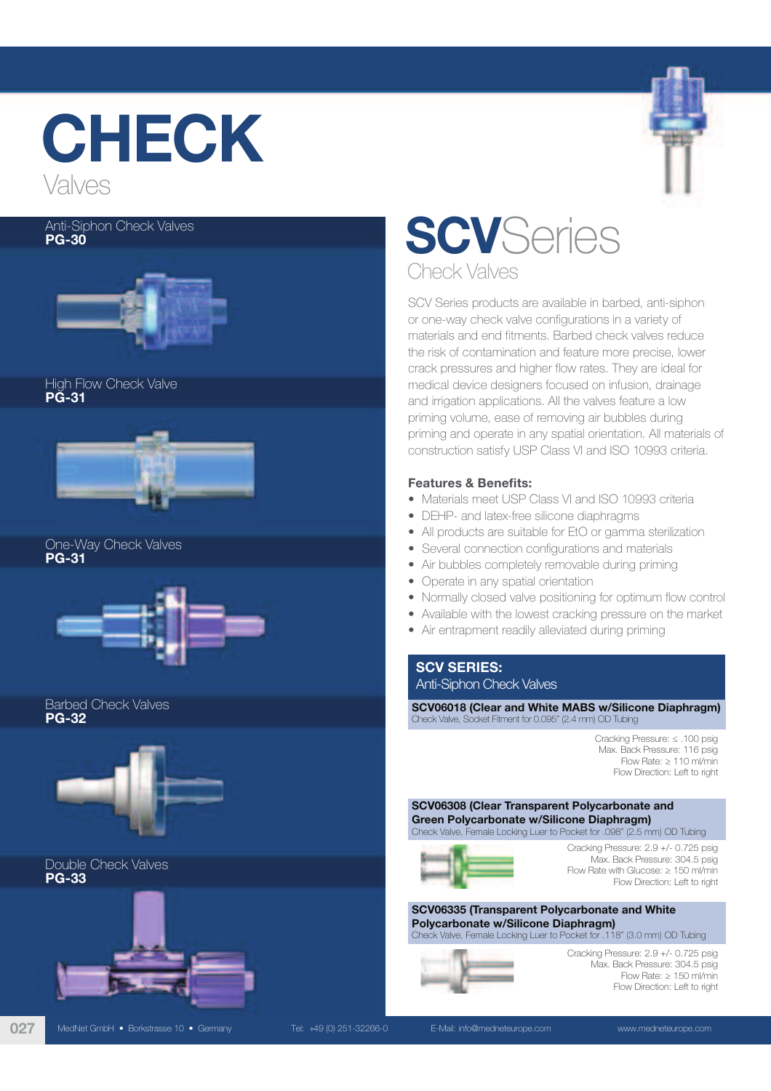

## Anti-Siphon Check Valves PG-30



High Flow Check Valve PG-31



One-Way Check Valves PG-31



Barbed Check Valves PG-32



Double Check Valves PG-33



027 MedNet GmbH • Borkstrasse 10 • Germany Tel: +49 (0) 251-32266-0 E-Mail: info@medneteurope.com www.medneteurope.com



SCV Series products are available in barbed, anti-siphon or one-way check valve configurations in a variety of materials and end fitments. Barbed check valves reduce the risk of contamination and feature more precise, lower crack pressures and higher flow rates. They are ideal for medical device designers focused on infusion, drainage and irrigation applications. All the valves feature a low priming volume, ease of removing air bubbles during priming and operate in any spatial orientation. All materials of construction satisfy USP Class VI and ISO 10993 criteria.

# Features & Benefits:

- Materials meet USP Class VI and ISO 10993 criteria
- DEHP- and latex-free silicone diaphragms
- All products are suitable for EtO or gamma sterilization
- Several connection configurations and materials
- Air bubbles completely removable during priming
- Operate in any spatial orientation
- Normally closed valve positioning for optimum flow control
- Available with the lowest cracking pressure on the market
- Air entrapment readily alleviated during priming

# SCV SERIES: Anti-Siphon Check Valves

SCV06018 (Clear and White MABS w/Silicone Diaphragm) Check Valve, Socket Fitment for 0.095" (2.4 mm) OD Tubing

> Cracking Pressure: ≤ .100 psig Max. Back Pressure: 116 psig Flow Rate: ≥ 110 ml/min Flow Direction: Left to right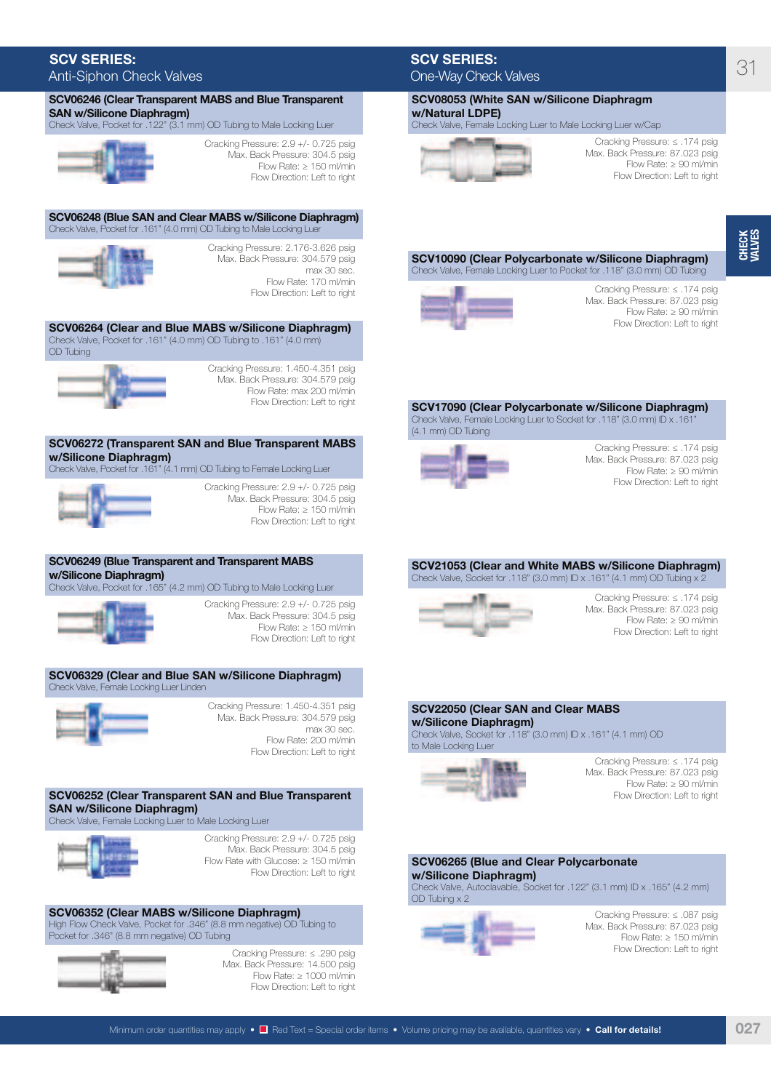# SCV SERIES: Anti-Siphon Check Valves

| SCV06246 (Clear Transparent MABS and Blue Transparent                                                                                                   |                                                                                                                                                  |
|---------------------------------------------------------------------------------------------------------------------------------------------------------|--------------------------------------------------------------------------------------------------------------------------------------------------|
| <b>SAN w/Silicone Diaphragm)</b><br>Check Valve, Pocket for .122" (3.1 mm) OD Tubing to Male Locking Luer                                               |                                                                                                                                                  |
|                                                                                                                                                         | Cracking Pressure: 2.9 +/- 0.725 psig                                                                                                            |
|                                                                                                                                                         | Max. Back Pressure: 304.5 psig<br>Flow Rate: $\geq 150$ ml/min<br>Flow Direction: Left to right                                                  |
| SCV06248 (Blue SAN and Clear MABS w/Silicone Diaphragm)<br>Check Valve, Pocket for .161" (4.0 mm) OD Tubing to Male Locking Luer                        |                                                                                                                                                  |
|                                                                                                                                                         | Cracking Pressure: 2.176-3.626 psig<br>Max. Back Pressure: 304.579 psig<br>max 30 sec.<br>Flow Rate: 170 ml/min<br>Flow Direction: Left to right |
| SCV06264 (Clear and Blue MABS w/Silicone Diaphragm)<br>Check Valve, Pocket for .161" (4.0 mm) OD Tubing to .161" (4.0 mm)<br><b>OD</b> Tubing           |                                                                                                                                                  |
|                                                                                                                                                         | Cracking Pressure: 1.450-4.351 psig<br>Max. Back Pressure: 304.579 psig<br>Flow Rate: max 200 ml/min<br>Flow Direction: Left to right            |
| SCV06272 (Transparent SAN and Blue Transparent MABS<br>w/Silicone Diaphragm)<br>Check Valve, Pocket for .161" (4.1 mm) OD Tubing to Female Locking Luer |                                                                                                                                                  |
|                                                                                                                                                         | Cracking Pressure: 2.9 +/- 0.725 psig<br>Max. Back Pressure: 304.5 psig<br>Flow Rate: $\geq 150$ ml/min<br>Flow Direction: Left to right         |
| SCV06249 (Blue Transparent and Transparent MABS<br>w/Silicone Diaphragm)<br>Check Valve, Pocket for .165" (4.2 mm) OD Tubing to Male Locking Luer       |                                                                                                                                                  |
|                                                                                                                                                         | Cracking Pressure: 2.9 +/- 0.725 psig                                                                                                            |
|                                                                                                                                                         | Max. Back Pressure: 304.5 psig<br>Flow Rate: $\geq 150$ ml/min<br>Flow Direction: Left to right                                                  |
| SCV06329 (Clear and Blue SAN w/Silicone Diaphragm)<br>Check Valve, Female Locking Luer Linden                                                           |                                                                                                                                                  |
|                                                                                                                                                         | Cracking Pressure: 1.450-4.351 psig<br>Max. Back Pressure: 304.579 psig<br>max 30 sec.<br>Flow Rate: 200 ml/min<br>Flow Direction: Left to right |
| SCV06252 (Clear Transparent SAN and Blue Transparent<br><b>SAN w/Silicone Diaphragm)</b><br>Check Valve, Female Locking Luer to Male Locking Luer       |                                                                                                                                                  |



Cracking Pressure: 2.9 +/- 0.725 psig Max. Back Pressure: 304.5 psig Flow Rate with Glucose: ≥ 150 ml/min Flow Direction: Left to right

SCV06352 (Clear MABS w/Silicone Diaphragm) High Flow Check Valve, Pocket for .346" (8.8 mm negative) OD Tubing to Pocket for .346" (8.8 mm negative) OD Tubing



Cracking Pressure: ≤ .290 psig Max. Back Pressure: 14.500 psig Flow Rate: ≥ 1000 ml/min Flow Direction: Left to right

# SCV SERIES: One-Way Check Valves

SCV08053 (White SAN w/Silicone Diaphragm w/Natural LDPE) Check Valve, Female Locking Luer to Male Locking Luer w/Cap



Cracking Pressure: ≤ .174 psig Max. Back Pressure: 87.023 psig Flow Rate: ≥ 90 ml/min Flow Direction: Left to right

## SCV10090 (Clear Polycarbonate w/Silicone Diaphragm) Check Valve, Female Locking Luer to Pocket for .118" (3.0 mm) OD Tubing



Cracking Pressure: ≤ .174 psig Max. Back Pressure: 87.023 psig Flow Rate: ≥ 90 ml/min Flow Direction: Left to right

#### SCV17090 (Clear Polycarbonate w/Silicone Diaphragm) Check Valve, Female Locking Luer to Socket for .118" (3.0 mm) ID x .161 (4.1 mm) OD Tubing



Cracking Pressure: ≤ .174 psig Max. Back Pressure: 87.023 psig Flow Rate: ≥ 90 ml/min Flow Direction: Left to right

# SCV21053 (Clear and White MABS w/Silicone Diaphragm)

## Check Valve, Socket for .118" (3.0 mm) ID x .161" (4.1 mm) OD Tubing x 2



Cracking Pressure: ≤ .174 psig Max. Back Pressure: 87.023 psig Flow Rate: ≥ 90 ml/min Flow Direction: Left to right

## SCV22050 (Clear SAN and Clear MABS w/Silicone Diaphragm)

Check Valve, Socket for .118" (3.0 mm) ID x .161" (4.1 mm) OD to Male Locking Luer



Cracking Pressure: ≤ .174 psig Max. Back Pressure: 87.023 psig Flow Rate: ≥ 90 ml/min Flow Direction: Left to right

## SCV06265 (Blue and Clear Polycarbonate w/Silicone Diaphragm)

Check Valve, Autoclavable, Socket for .122" (3.1 mm) ID x .165" (4.2 mm) OD Tubing x 2



Cracking Pressure: ≤ .087 psig Max. Back Pressure: 87.023 psig Flow Rate: ≥ 150 ml/min Flow Direction: Left to right